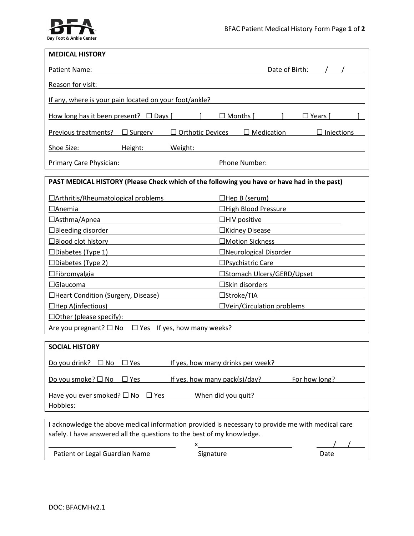

| <b>MEDICAL HISTORY</b>                                                                                                                                                      |                                                |
|-----------------------------------------------------------------------------------------------------------------------------------------------------------------------------|------------------------------------------------|
| Patient Name:                                                                                                                                                               | Date of Birth:                                 |
| Reason for visit:                                                                                                                                                           |                                                |
| If any, where is your pain located on your foot/ankle?                                                                                                                      |                                                |
| How long has it been present? $\Box$ Days [                                                                                                                                 | Months  <br>$\square$ Years $\mid$             |
| Previous treatments? $\Box$ Surgery<br><b>Orthotic Devices</b>                                                                                                              | $\Box$ Medication<br>$\Box$ Injections         |
| Shoe Size:<br>Height:<br>Weight:                                                                                                                                            |                                                |
| Primary Care Physician:                                                                                                                                                     | Phone Number:                                  |
| PAST MEDICAL HISTORY (Please Check which of the following you have or have had in the past)                                                                                 |                                                |
| □Arthritis/Rheumatological problems                                                                                                                                         | $\Box$ Hep B (serum)                           |
| $\Box$ Anemia                                                                                                                                                               | □High Blood Pressure                           |
| □Asthma/Apnea                                                                                                                                                               | $\Box$ HIV positive                            |
| □Bleeding disorder                                                                                                                                                          | □Kidney Disease                                |
| $\Box$ Blood clot history                                                                                                                                                   | □Motion Sickness                               |
| $\square$ Diabetes (Type 1)                                                                                                                                                 | □Neurological Disorder                         |
| $\square$ Diabetes (Type 2)                                                                                                                                                 | □Psychiatric Care                              |
| $\Box$ Fibromyalgia                                                                                                                                                         | □Stomach Ulcers/GERD/Upset                     |
| $\Box$ Glaucoma                                                                                                                                                             | □Skin disorders                                |
| □Heart Condition (Surgery, Disease)                                                                                                                                         | $\Box$ Stroke/TIA                              |
| $\Box$ Hep A(infectious)                                                                                                                                                    | □Vein/Circulation problems                     |
| $\Box$ Other (please specify):                                                                                                                                              |                                                |
| Are you pregnant? $\square$ No<br>$\Box$ Yes If yes, how many weeks?                                                                                                        |                                                |
| <b>SOCIAL HISTORY</b>                                                                                                                                                       |                                                |
| Do you drink?<br>$\Box$ No<br>$\Box$ Yes                                                                                                                                    | If yes, how many drinks per week?              |
| Do you smoke? □ No<br>$\Box$ Yes                                                                                                                                            | If yes, how many pack(s)/day?<br>For how long? |
| Have you ever smoked? $\Box$ No<br>$\Box$ Yes<br>Hobbies:                                                                                                                   | When did you quit?                             |
|                                                                                                                                                                             |                                                |
| I acknowledge the above medical information provided is necessary to provide me with medical care<br>safely. I have answered all the questions to the best of my knowledge. |                                                |

| Patient or Legal Guardian Name | Signature | Date |  |
|--------------------------------|-----------|------|--|